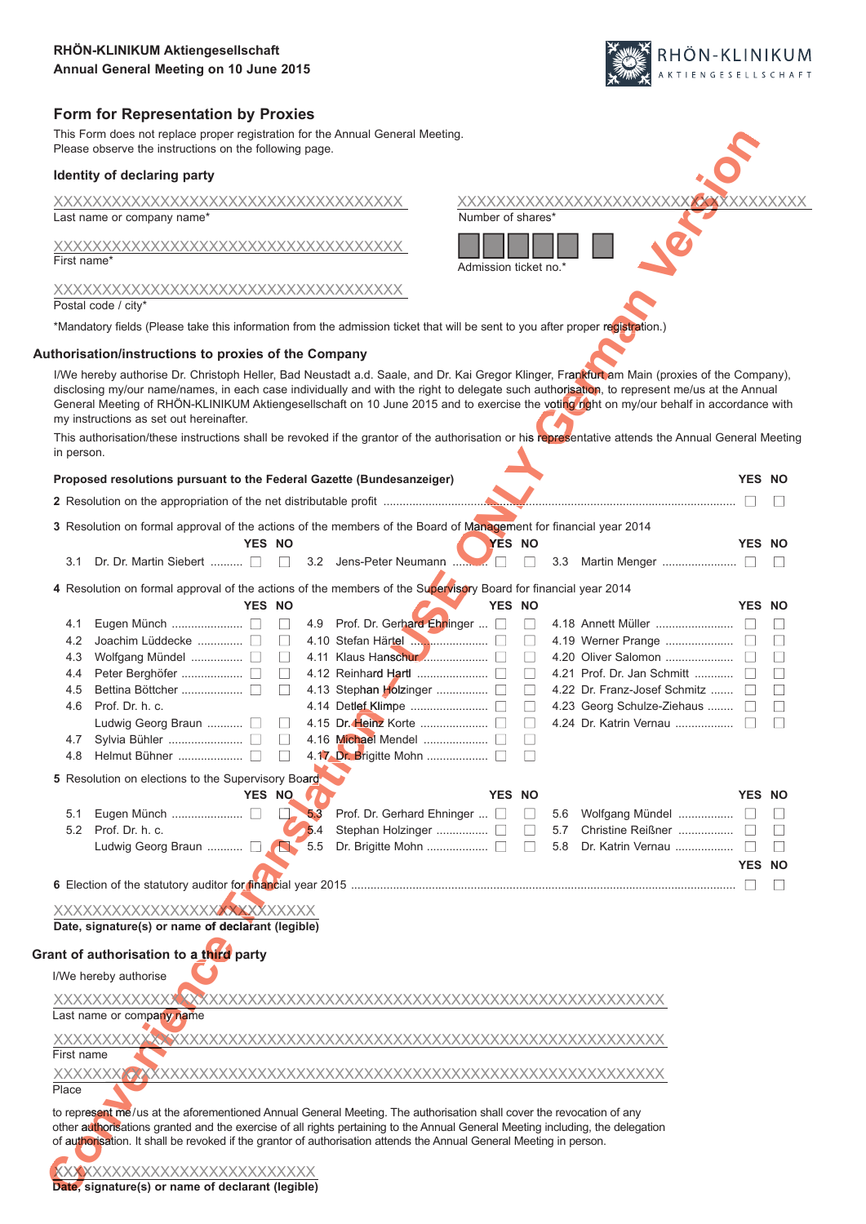# **Form for Representation by Proxies**

This Form does not replace proper registration for the Annual General Meeting. Please observe the instructions on the following page.

|             | This Form does not replace proper registration for the Annual General Meeting.<br>Please observe the instructions on the following page.                                                                                                                                                                                                                                      |        |              |                                                       |                   |               |                       |     |                                                                                                                                                                                                                                                                                                                                                                                                                                         |               |              |
|-------------|-------------------------------------------------------------------------------------------------------------------------------------------------------------------------------------------------------------------------------------------------------------------------------------------------------------------------------------------------------------------------------|--------|--------------|-------------------------------------------------------|-------------------|---------------|-----------------------|-----|-----------------------------------------------------------------------------------------------------------------------------------------------------------------------------------------------------------------------------------------------------------------------------------------------------------------------------------------------------------------------------------------------------------------------------------------|---------------|--------------|
|             | Identity of declaring party                                                                                                                                                                                                                                                                                                                                                   |        |              |                                                       |                   |               |                       |     |                                                                                                                                                                                                                                                                                                                                                                                                                                         |               |              |
|             | Last name or company name*                                                                                                                                                                                                                                                                                                                                                    |        |              |                                                       | Number of shares* |               |                       |     | XXXXXXXXXXXXXXXXXXXXXXXX <mark>XX</mark> XXXXXXXXX                                                                                                                                                                                                                                                                                                                                                                                      |               |              |
| First name* |                                                                                                                                                                                                                                                                                                                                                                               |        |              |                                                       |                   |               | Admission ticket no.* |     |                                                                                                                                                                                                                                                                                                                                                                                                                                         |               |              |
|             | Postal code / citv*                                                                                                                                                                                                                                                                                                                                                           |        |              |                                                       |                   |               |                       |     |                                                                                                                                                                                                                                                                                                                                                                                                                                         |               |              |
|             | *Mandatory fields (Please take this information from the admission ticket that will be sent to you after proper registration.)                                                                                                                                                                                                                                                |        |              |                                                       |                   |               |                       |     |                                                                                                                                                                                                                                                                                                                                                                                                                                         |               |              |
|             | Authorisation/instructions to proxies of the Company                                                                                                                                                                                                                                                                                                                          |        |              |                                                       |                   |               |                       |     |                                                                                                                                                                                                                                                                                                                                                                                                                                         |               |              |
|             | my instructions as set out hereinafter.                                                                                                                                                                                                                                                                                                                                       |        |              |                                                       |                   |               |                       |     | I/We hereby authorise Dr. Christoph Heller, Bad Neustadt a.d. Saale, and Dr. Kai Gregor Klinger, Frankfurt am Main (proxies of the Company),<br>disclosing my/our name/names, in each case individually and with the right to delegate such authorisation, to represent me/us at the Annual<br>General Meeting of RHÖN-KLINIKUM Aktiengesellschaft on 10 June 2015 and to exercise the voting right on my/our behalf in accordance with |               |              |
| in person.  |                                                                                                                                                                                                                                                                                                                                                                               |        |              |                                                       |                   |               |                       |     | This authorisation/these instructions shall be revoked if the grantor of the authorisation or his representative attends the Annual General Meeting                                                                                                                                                                                                                                                                                     |               |              |
|             | Proposed resolutions pursuant to the Federal Gazette (Bundesanzeiger)                                                                                                                                                                                                                                                                                                         |        |              |                                                       |                   |               |                       |     |                                                                                                                                                                                                                                                                                                                                                                                                                                         | YES NO        |              |
|             |                                                                                                                                                                                                                                                                                                                                                                               |        |              |                                                       |                   |               |                       |     | <u> 1999</u> - Januar Jacobson, francuski filozof, francuski filozof, francuski filozof, francuski filozof, francuski filozof, francuski filozof, francuski filozof, francuski filozof, francuski filozof, francuski filozof, franc                                                                                                                                                                                                     |               |              |
|             | 3 Resolution on formal approval of the actions of the members of the Board of Management for financial year 2014                                                                                                                                                                                                                                                              | YES NO |              |                                                       |                   | YES NO        |                       |     |                                                                                                                                                                                                                                                                                                                                                                                                                                         | YES NO        |              |
| 3.1         | Dr. Dr. Martin Siebert                                                                                                                                                                                                                                                                                                                                                        |        | $\Box$       | 3.2 Jens-Peter Neumann                                |                   |               |                       |     |                                                                                                                                                                                                                                                                                                                                                                                                                                         |               |              |
|             | 4 Resolution on formal approval of the actions of the members of the Supervisory Board for financial year 2014                                                                                                                                                                                                                                                                |        |              |                                                       |                   |               |                       |     |                                                                                                                                                                                                                                                                                                                                                                                                                                         |               |              |
| 4.1         |                                                                                                                                                                                                                                                                                                                                                                               | YES NO | $\mathbf{L}$ | 4.9 Prof. Dr. Gerhard Ehninger                        |                   | YES NO        | $\Box$                |     |                                                                                                                                                                                                                                                                                                                                                                                                                                         | YES NO        |              |
| 4.2         | Joachim Lüddecke                                                                                                                                                                                                                                                                                                                                                              |        |              | 4.10 Stefan Härtel <b>Manual Accord Stefan Härtel</b> |                   |               | $\Box$                |     |                                                                                                                                                                                                                                                                                                                                                                                                                                         |               |              |
| 4.3         |                                                                                                                                                                                                                                                                                                                                                                               |        | $\Box$       |                                                       |                   |               | П                     |     |                                                                                                                                                                                                                                                                                                                                                                                                                                         |               | $\mathbf{L}$ |
| 4.4         |                                                                                                                                                                                                                                                                                                                                                                               |        | $\Box$       |                                                       |                   |               | $\Box$                |     | 4.21 Prof. Dr. Jan Schmitt                                                                                                                                                                                                                                                                                                                                                                                                              |               |              |
| 4.5         |                                                                                                                                                                                                                                                                                                                                                                               |        | Ш            |                                                       |                   |               | $\Box$                |     | 4.22 Dr. Franz-Josef Schmitz                                                                                                                                                                                                                                                                                                                                                                                                            |               |              |
| 4.6         | Prof. Dr. h. c.<br>Ludwig Georg Braun  [                                                                                                                                                                                                                                                                                                                                      |        |              |                                                       |                   |               | ⊔<br>$\Box$           |     | 4.23 Georg Schulze-Ziehaus  [<br>4.24 Dr. Katrin Vernau                                                                                                                                                                                                                                                                                                                                                                                 |               |              |
| 4.7<br>4.8  |                                                                                                                                                                                                                                                                                                                                                                               |        |              |                                                       |                   |               | $\Box$<br>$\Box$      |     |                                                                                                                                                                                                                                                                                                                                                                                                                                         |               |              |
|             | Resolution on elections to the Supervisory Board                                                                                                                                                                                                                                                                                                                              |        |              |                                                       |                   |               |                       |     |                                                                                                                                                                                                                                                                                                                                                                                                                                         |               |              |
|             |                                                                                                                                                                                                                                                                                                                                                                               | YES NO |              |                                                       |                   | <b>YES NO</b> |                       |     |                                                                                                                                                                                                                                                                                                                                                                                                                                         | <b>YES NO</b> |              |
| 5.1         |                                                                                                                                                                                                                                                                                                                                                                               |        |              | Prof. Dr. Gerhard Ehninger                            |                   |               |                       |     | 5.6 Wolfgang Mündel                                                                                                                                                                                                                                                                                                                                                                                                                     |               |              |
| 5.2         | Prof. Dr. h. c.                                                                                                                                                                                                                                                                                                                                                               |        | 5.4          |                                                       |                   |               | $\Box$                | 5.7 | Christine Reißner                                                                                                                                                                                                                                                                                                                                                                                                                       |               |              |
|             | Ludwig Georg Braun  [                                                                                                                                                                                                                                                                                                                                                         |        | 5.5          |                                                       |                   |               | $\Box$                | 5.8 | Dr. Katrin Vernau                                                                                                                                                                                                                                                                                                                                                                                                                       |               |              |
|             |                                                                                                                                                                                                                                                                                                                                                                               |        |              |                                                       |                   |               |                       |     |                                                                                                                                                                                                                                                                                                                                                                                                                                         | YES NO        |              |
|             |                                                                                                                                                                                                                                                                                                                                                                               |        |              |                                                       |                   |               |                       |     |                                                                                                                                                                                                                                                                                                                                                                                                                                         |               |              |
|             | XXXXXXXXXXXXXXXXXXXXXXXXXXXXX<br>Date, signature(s) or name of declarant (legible)                                                                                                                                                                                                                                                                                            |        |              |                                                       |                   |               |                       |     |                                                                                                                                                                                                                                                                                                                                                                                                                                         |               |              |
|             | Grant of authorisation to a third party                                                                                                                                                                                                                                                                                                                                       |        |              |                                                       |                   |               |                       |     |                                                                                                                                                                                                                                                                                                                                                                                                                                         |               |              |
|             | I/We hereby authorise                                                                                                                                                                                                                                                                                                                                                         |        |              |                                                       |                   |               |                       |     |                                                                                                                                                                                                                                                                                                                                                                                                                                         |               |              |
|             |                                                                                                                                                                                                                                                                                                                                                                               |        |              |                                                       |                   |               |                       |     |                                                                                                                                                                                                                                                                                                                                                                                                                                         |               |              |
|             | Last name or company name                                                                                                                                                                                                                                                                                                                                                     |        |              |                                                       |                   |               |                       |     |                                                                                                                                                                                                                                                                                                                                                                                                                                         |               |              |
| First name  |                                                                                                                                                                                                                                                                                                                                                                               |        |              |                                                       |                   |               |                       |     |                                                                                                                                                                                                                                                                                                                                                                                                                                         |               |              |
| Place       |                                                                                                                                                                                                                                                                                                                                                                               |        |              |                                                       |                   |               |                       |     |                                                                                                                                                                                                                                                                                                                                                                                                                                         |               |              |
|             | to represent me/us at the aforementioned Annual General Meeting. The authorisation shall cover the revocation of any<br>other authorisations granted and the exercise of all rights pertaining to the Annual General Meeting including, the delegation<br>of authorisation. It shall be revoked if the grantor of authorisation attends the Annual General Meeting in person. |        |              |                                                       |                   |               |                       |     |                                                                                                                                                                                                                                                                                                                                                                                                                                         |               |              |
|             | <b>KXXXXXXXXXXXXXXXXXXXXXXXXX</b><br>Date, signature(s) or name of declarant (legible)                                                                                                                                                                                                                                                                                        |        |              |                                                       |                   |               |                       |     |                                                                                                                                                                                                                                                                                                                                                                                                                                         |               |              |

**HÖN-KLINIKUM**<br><sub>KTIENGESELLSCHAFT</sub>